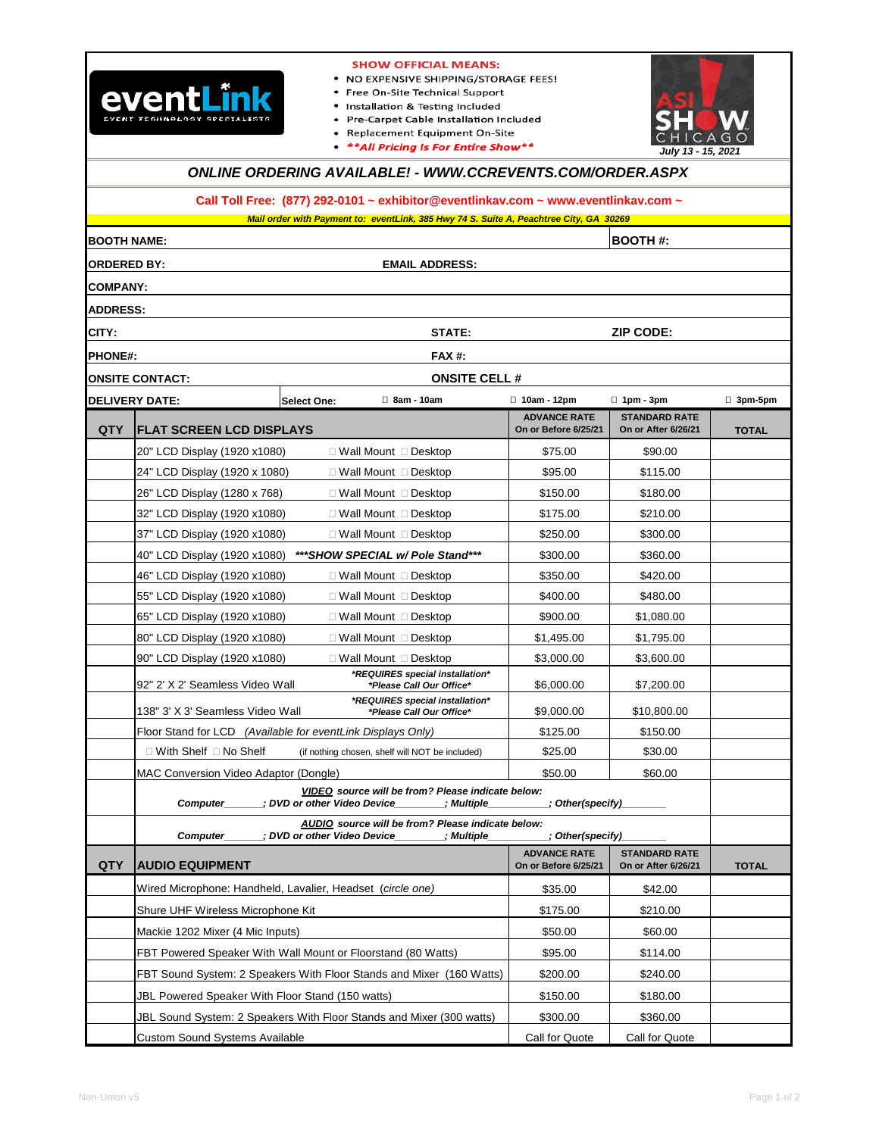

#### **SHOW OFFICIAL MEANS:**

- . NO EXPENSIVE SHIPPING/STORAGE FEES!
- Free On-Site Technical Support
- Installation & Testing Included
- Pre-Carpet Cable Installation Included
- · Replacement Equipment On-Site
- \*\* All Pricing Is For Entire Show\*\*



# **ONLINE ORDERING AVAILABLE! - WWW.CCREVENTS.COM/ORDER.ASPX**

**Call Toll Free: (877) 292-0101 ~ exhibitor@eventlinkav.com ~ www.eventlinkav.com ~**

**STATE: PHONE#: DELIVERY DATE: Select One: 8am - 10am 10am - 12pm 1pm - 3pm 3pm-5pm QTY ADVANCE RATE On or Before 6/25/21 STANDARD RATE On or After 6/26/21 TOTAL** \$75.00 \$90.00 \$95.00 | \$115.00 \$150.00 \$180.00 \$175.00 \$210.00 \$250.00 \$300.00 \$300.00 \$360.00 \$350.00 \$420.00 \$400.00 \$480.00 \$900.00 \$1,080.00 \$1,495.00 \$1,795.00 \$3,000.00 | \$3,600.00 \$6,000.00 \$7,200.00 \$9,000.00 \$10,800.00 \$125.00 \$150.00 \$25.00 \$30.00 \$50.00 \$60.00 **QTY ADVANCE RATE On or Before 6/25/21 STANDARD RATE On or After 6/26/21 TOTAL** \$35.00 \$42.00 \$175.00 \$210.00 \$50.00 \$60.00 FBT Powered Speaker With Wall Mount or Floorstand (80 Watts) **\$95.00** \$114.00 FBT Sound System: 2 Speakers With Floor Stands and Mixer (160 Watts)  $\vert$  \$200.00 \$240.00 \$150.00 \$180.00 \$300.00 \$360.00 Call for Quote Call for Quote 20" LCD Display (1920 x1080) Wall Mount Desktop 32" LCD Display (1920 x1080) Wall Mount Desktop  **\*REQUIRES special installation\* \*Please Call Our Office\*** JBL Sound System: 2 Speakers With Floor Stands and Mixer (300 watts) 24" LCD Display (1920 x 1080) Wall Mount Desktop 37" LCD Display (1920 x1080) Wall Mount Desktop 80" LCD Display (1920 x1080) Wall Mount Desktop 26" LCD Display (1280 x 768) Wall Mount Desktop **FLAT SCREEN LCD DISPLAYS EMAIL ADDRESS: BOOTH NAME: BOOTH #: ZIP CODE: COMPANY: ADDRESS: FAX #: ONSITE CONTACT: ONSITE CELL # AUDIO EQUIPMENT** JBL Powered Speaker With Floor Stand (150 watts) Custom Sound Systems Available Wired Microphone: Handheld, Lavalier, Headset (circle one) 55" LCD Display (1920 x1080) Wall Mount Desktop Floor Stand for LCD (Available for eventLink Displays Only) 46" LCD Display (1920 x1080) Wall Mount Desktop MAC Conversion Video Adaptor (Dongle) **ORDERED BY:**  Mackie 1202 Mixer (4 Mic Inputs) **Mail order with Payment to: eventLink, 385 Hwy 74 S. Suite A, Peachtree City, GA 30269 CITY:** 40" LCD Display (1920 x1080) **\*\*\*SHOW SPECIAL w/ Pole Stand\*\*\*** Shure UHF Wireless Microphone Kit 65" LCD Display (1920 x1080) Wall Mount Desktop **VIDEO source will be from? Please indicate below: Computer\_\_\_\_\_\_\_; DVD or other Video Device\_\_\_\_\_\_\_\_; Multiple\_\_\_\_\_\_\_\_\_\_; Other(specify)\_**  $\Box$  With Shelf  $\Box$  No Shelf (if nothing chosen, shelf will NOT be included) 90" LCD Display (1920 x1080) Wall Mount Desktop 92" 2' X 2' Seamless Video Wall  **\*REQUIRES special installation\* \*Please Call Our Office\*** 138" 3' X 3' Seamless Video Wall **AUDIO source will be from? Please indicate below:**  Computer\_\_\_\_\_\_\_; DVD or other Video Device\_\_\_\_\_\_\_\_; Multiple\_\_\_\_\_\_\_\_\_\_; Other(specify)